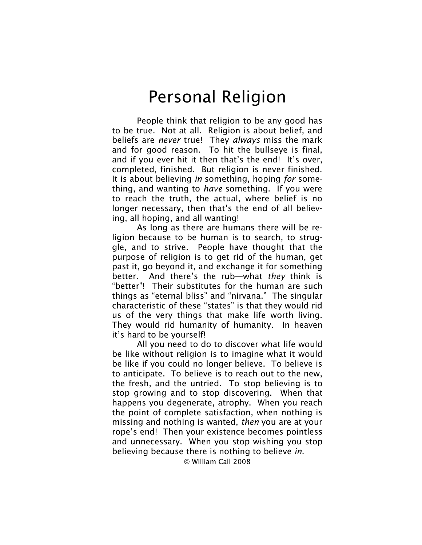People think that religion to be any good has to be true. Not at all. Religion is about belief, and beliefs are *never* true! They *always* miss the mark and for good reason. To hit the bullseye is final, and if you ever hit it then that's the end! It's over, completed, finished. But religion is never finished. It is about believing *in* something, hoping *for* something, and wanting to *have* something. If you were to reach the truth, the actual, where belief is no longer necessary, then that's the end of all believing, all hoping, and all wanting!

As long as there are humans there will be religion because to be human is to search, to struggle, and to strive. People have thought that the purpose of religion is to get rid of the human, get past it, go beyond it, and exchange it for something better. And there's the rub—what *they* think is "better"! Their substitutes for the human are such things as "eternal bliss" and "nirvana." The singular characteristic of these "states" is that they would rid us of the very things that make life worth living. They would rid humanity of humanity. In heaven it's hard to be yourself!

All you need to do to discover what life would be like without religion is to imagine what it would be like if you could no longer believe. To believe is to anticipate. To believe is to reach out to the new, the fresh, and the untried. To stop believing is to stop growing and to stop discovering. When that happens you degenerate, atrophy. When you reach the point of complete satisfaction, when nothing is missing and nothing is wanted, *then* you are at your rope's end! Then your existence becomes pointless and unnecessary. When you stop wishing you stop believing because there is nothing to believe *in*.

© William Call 2008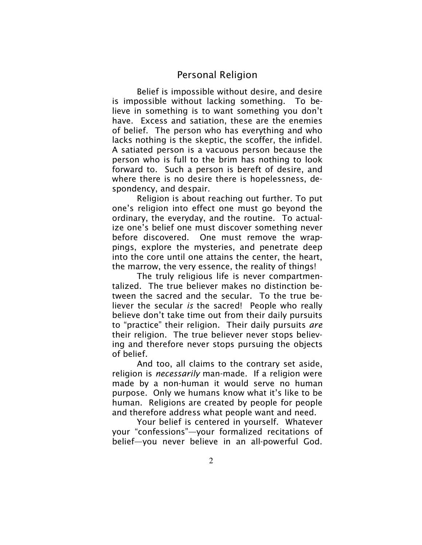Belief is impossible without desire, and desire is impossible without lacking something. To believe in something is to want something you don't have. Excess and satiation, these are the enemies of belief. The person who has everything and who lacks nothing is the skeptic, the scoffer, the infidel. A satiated person is a vacuous person because the person who is full to the brim has nothing to look forward to. Such a person is bereft of desire, and where there is no desire there is hopelessness, despondency, and despair.

Religion is about reaching out further. To put one's religion into effect one must go beyond the ordinary, the everyday, and the routine. To actualize one's belief one must discover something never before discovered. One must remove the wrappings, explore the mysteries, and penetrate deep into the core until one attains the center, the heart, the marrow, the very essence, the reality of things!

The truly religious life is never compartmentalized. The true believer makes no distinction between the sacred and the secular. To the true believer the secular *is* the sacred! People who really believe don't take time out from their daily pursuits to "practice" their religion. Their daily pursuits *are* their religion. The true believer never stops believing and therefore never stops pursuing the objects of belief.

And too, all claims to the contrary set aside, religion is *necessarily* man-made. If a religion were made by a non-human it would serve no human purpose. Only we humans know what it's like to be human. Religions are created by people for people and therefore address what people want and need.

Your belief is centered in yourself. Whatever your "confessions"—your formalized recitations of belief—you never believe in an all-powerful God.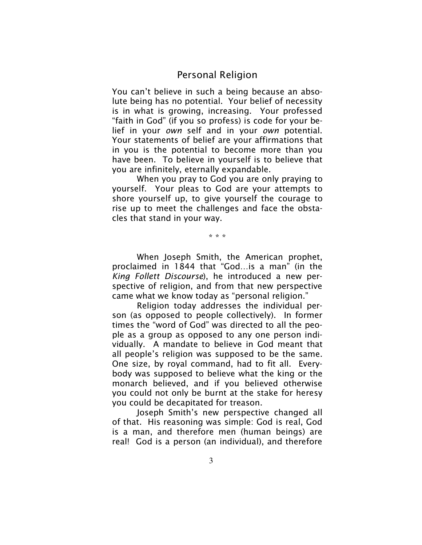You can't believe in such a being because an absolute being has no potential. Your belief of necessity is in what is growing, increasing. Your professed "faith in God" (if you so profess) is code for your belief in your *own* self and in your *own* potential. Your statements of belief are your affirmations that in you is the potential to become more than you have been. To believe in yourself is to believe that you are infinitely, eternally expandable.

When you pray to God you are only praying to yourself. Your pleas to God are your attempts to shore yourself up, to give yourself the courage to rise up to meet the challenges and face the obstacles that stand in your way.

\* \* \*

When Joseph Smith, the American prophet, proclaimed in 1844 that "God…is a man" (in the *King Follett Discourse*), he introduced a new perspective of religion, and from that new perspective came what we know today as "personal religion."

Religion today addresses the individual person (as opposed to people collectively). In former times the "word of God" was directed to all the people as a group as opposed to any one person individually. A mandate to believe in God meant that all people's religion was supposed to be the same. One size, by royal command, had to fit all. Everybody was supposed to believe what the king or the monarch believed, and if you believed otherwise you could not only be burnt at the stake for heresy you could be decapitated for treason.

Joseph Smith's new perspective changed all of that. His reasoning was simple: God is real, God is a man, and therefore men (human beings) are real! God is a person (an individual), and therefore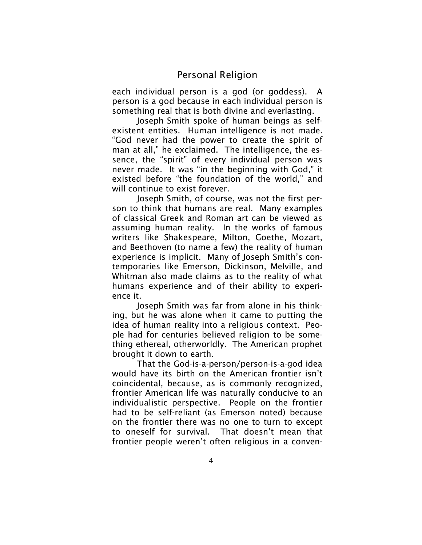each individual person is a god (or goddess). A person is a god because in each individual person is something real that is both divine and everlasting.

Joseph Smith spoke of human beings as selfexistent entities. Human intelligence is not made. "God never had the power to create the spirit of man at all," he exclaimed. The intelligence, the essence, the "spirit" of every individual person was never made. It was "in the beginning with God," it existed before "the foundation of the world," and will continue to exist forever.

Joseph Smith, of course, was not the first person to think that humans are real. Many examples of classical Greek and Roman art can be viewed as assuming human reality. In the works of famous writers like Shakespeare, Milton, Goethe, Mozart, and Beethoven (to name a few) the reality of human experience is implicit. Many of Joseph Smith's contemporaries like Emerson, Dickinson, Melville, and Whitman also made claims as to the reality of what humans experience and of their ability to experience it.

Joseph Smith was far from alone in his thinking, but he was alone when it came to putting the idea of human reality into a religious context. People had for centuries believed religion to be something ethereal, otherworldly. The American prophet brought it down to earth.

That the God-is-a-person/person-is-a-god idea would have its birth on the American frontier isn't coincidental, because, as is commonly recognized, frontier American life was naturally conducive to an individualistic perspective. People on the frontier had to be self-reliant (as Emerson noted) because on the frontier there was no one to turn to except to oneself for survival. That doesn't mean that frontier people weren't often religious in a conven-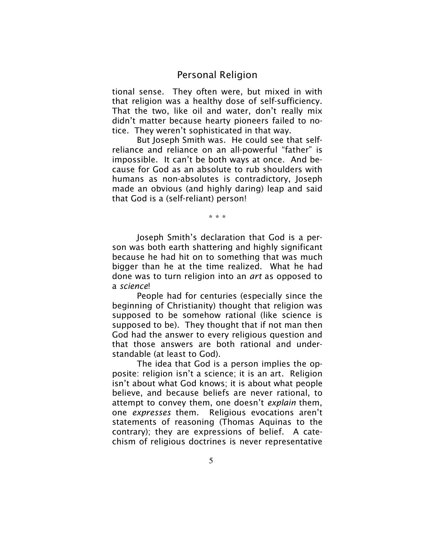tional sense. They often were, but mixed in with that religion was a healthy dose of self-sufficiency. That the two, like oil and water, don't really mix didn't matter because hearty pioneers failed to notice. They weren't sophisticated in that way.

But Joseph Smith was. He could see that selfreliance and reliance on an all-powerful "father" is impossible. It can't be both ways at once. And because for God as an absolute to rub shoulders with humans as non-absolutes is contradictory, Joseph made an obvious (and highly daring) leap and said that God is a (self-reliant) person!

\* \* \*

Joseph Smith's declaration that God is a person was both earth shattering and highly significant because he had hit on to something that was much bigger than he at the time realized. What he had done was to turn religion into an *art* as opposed to a *science*!

People had for centuries (especially since the beginning of Christianity) thought that religion was supposed to be somehow rational (like science is supposed to be). They thought that if not man then God had the answer to every religious question and that those answers are both rational and understandable (at least to God).

The idea that God is a person implies the opposite: religion isn't a science; it is an art. Religion isn't about what God knows; it is about what people believe, and because beliefs are never rational, to attempt to convey them, one doesn't *explain* them, one *expresses* them. Religious evocations aren't statements of reasoning (Thomas Aquinas to the contrary); they are expressions of belief. A catechism of religious doctrines is never representative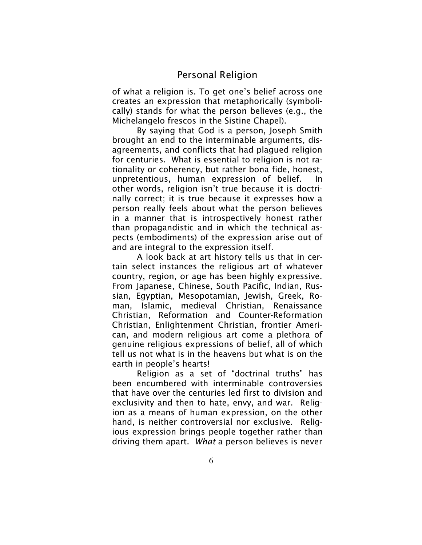of what a religion is. To get one's belief across one creates an expression that metaphorically (symbolically) stands for what the person believes (e.g., the Michelangelo frescos in the Sistine Chapel).

By saying that God is a person, Joseph Smith brought an end to the interminable arguments, disagreements, and conflicts that had plagued religion for centuries. What is essential to religion is not rationality or coherency, but rather bona fide, honest, unpretentious, human expression of belief. In other words, religion isn't true because it is doctrinally correct; it is true because it expresses how a person really feels about what the person believes in a manner that is introspectively honest rather than propagandistic and in which the technical aspects (embodiments) of the expression arise out of and are integral to the expression itself.

A look back at art history tells us that in certain select instances the religious art of whatever country, region, or age has been highly expressive. From Japanese, Chinese, South Pacific, Indian, Russian, Egyptian, Mesopotamian, Jewish, Greek, Roman, Islamic, medieval Christian, Renaissance Christian, Reformation and Counter-Reformation Christian, Enlightenment Christian, frontier American, and modern religious art come a plethora of genuine religious expressions of belief, all of which tell us not what is in the heavens but what is on the earth in people's hearts!

Religion as a set of "doctrinal truths" has been encumbered with interminable controversies that have over the centuries led first to division and exclusivity and then to hate, envy, and war. Religion as a means of human expression, on the other hand, is neither controversial nor exclusive. Religious expression brings people together rather than driving them apart. *What* a person believes is never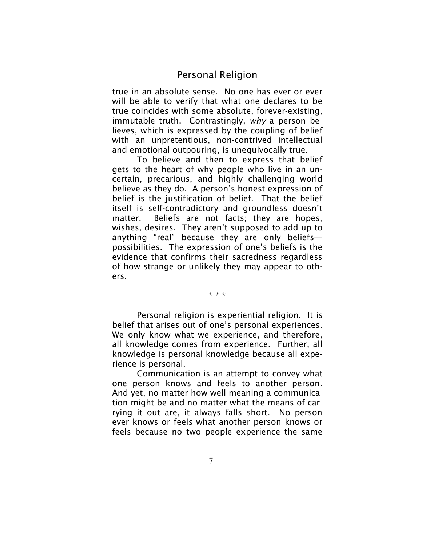true in an absolute sense. No one has ever or ever will be able to verify that what one declares to be true coincides with some absolute, forever-existing, immutable truth. Contrastingly, *why* a person believes, which is expressed by the coupling of belief with an unpretentious, non-contrived intellectual and emotional outpouring, is unequivocally true.

To believe and then to express that belief gets to the heart of why people who live in an uncertain, precarious, and highly challenging world believe as they do. A person's honest expression of belief is the justification of belief. That the belief itself is self-contradictory and groundless doesn't matter. Beliefs are not facts; they are hopes, wishes, desires. They aren't supposed to add up to anything "real" because they are only beliefs possibilities. The expression of one's beliefs is the evidence that confirms their sacredness regardless of how strange or unlikely they may appear to others.

\* \* \*

Personal religion is experiential religion. It is belief that arises out of one's personal experiences. We only know what we experience, and therefore, all knowledge comes from experience. Further, all knowledge is personal knowledge because all experience is personal.

Communication is an attempt to convey what one person knows and feels to another person. And yet, no matter how well meaning a communication might be and no matter what the means of carrying it out are, it always falls short. No person ever knows or feels what another person knows or feels because no two people experience the same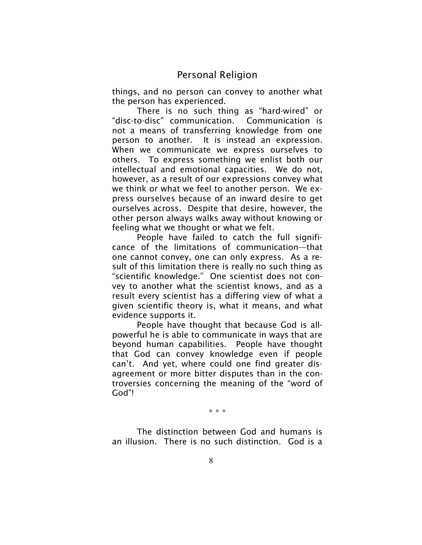things, and no person can convey to another what the person has experienced.

There is no such thing as "hard-wired" or "disc-to-disc" communication. Communication is not a means of transferring knowledge from one person to another. It is instead an expression. When we communicate we express ourselves to others. To express something we enlist both our intellectual and emotional capacities. We do not, however, as a result of our expressions convey what we think or what we feel to another person. We express ourselves because of an inward desire to get ourselves across. Despite that desire, however, the other person always walks away without knowing or feeling what we thought or what we felt.

People have failed to catch the full significance of the limitations of communication—that one cannot convey, one can only express. As a result of this limitation there is really no such thing as "scientific knowledge." One scientist does not convey to another what the scientist knows, and as a result every scientist has a differing view of what a given scientific theory is, what it means, and what evidence supports it.

People have thought that because God is allpowerful he is able to communicate in ways that are beyond human capabilities. People have thought that God can convey knowledge even if people can't. And yet, where could one find greater disagreement or more bitter disputes than in the controversies concerning the meaning of the "word of God"!

\* \* \*

The distinction between God and humans is an illusion. There is no such distinction. God is a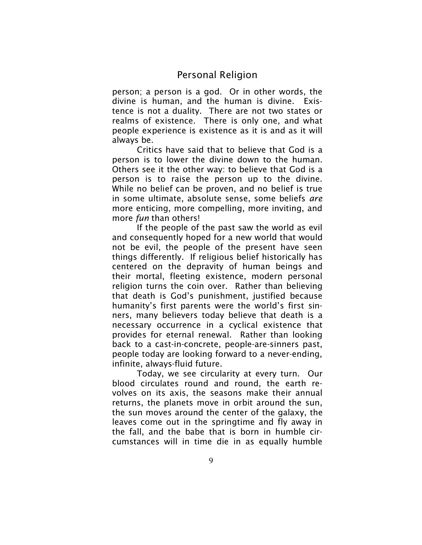person; a person is a god. Or in other words, the divine is human, and the human is divine. Existence is not a duality. There are not two states or realms of existence. There is only one, and what people experience is existence as it is and as it will always be.

Critics have said that to believe that God is a person is to lower the divine down to the human. Others see it the other way: to believe that God is a person is to raise the person up to the divine. While no belief can be proven, and no belief is true in some ultimate, absolute sense, some beliefs *are* more enticing, more compelling, more inviting, and more *fun* than others!

If the people of the past saw the world as evil and consequently hoped for a new world that would not be evil, the people of the present have seen things differently. If religious belief historically has centered on the depravity of human beings and their mortal, fleeting existence, modern personal religion turns the coin over. Rather than believing that death is God's punishment, justified because humanity's first parents were the world's first sinners, many believers today believe that death is a necessary occurrence in a cyclical existence that provides for eternal renewal. Rather than looking back to a cast-in-concrete, people-are-sinners past, people today are looking forward to a never-ending, infinite, always-fluid future.

Today, we see circularity at every turn. Our blood circulates round and round, the earth revolves on its axis, the seasons make their annual returns, the planets move in orbit around the sun, the sun moves around the center of the galaxy, the leaves come out in the springtime and fly away in the fall, and the babe that is born in humble circumstances will in time die in as equally humble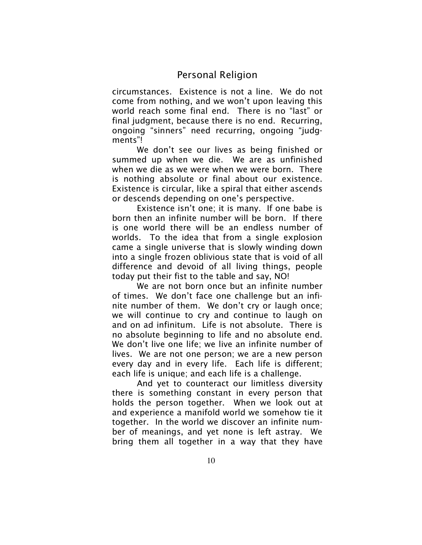circumstances. Existence is not a line. We do not come from nothing, and we won't upon leaving this world reach some final end. There is no "last" or final judgment, because there is no end. Recurring, ongoing "sinners" need recurring, ongoing "judgments"!

We don't see our lives as being finished or summed up when we die. We are as unfinished when we die as we were when we were born. There is nothing absolute or final about our existence. Existence is circular, like a spiral that either ascends or descends depending on one's perspective.

Existence isn't one; it is many. If one babe is born then an infinite number will be born. If there is one world there will be an endless number of worlds. To the idea that from a single explosion came a single universe that is slowly winding down into a single frozen oblivious state that is void of all difference and devoid of all living things, people today put their fist to the table and say, NO!

We are not born once but an infinite number of times. We don't face one challenge but an infinite number of them. We don't cry or laugh once; we will continue to cry and continue to laugh on and on ad infinitum. Life is not absolute. There is no absolute beginning to life and no absolute end. We don't live one life; we live an infinite number of lives. We are not one person; we are a new person every day and in every life. Each life is different; each life is unique; and each life is a challenge.

And yet to counteract our limitless diversity there is something constant in every person that holds the person together. When we look out at and experience a manifold world we somehow tie it together. In the world we discover an infinite number of meanings, and yet none is left astray. We bring them all together in a way that they have